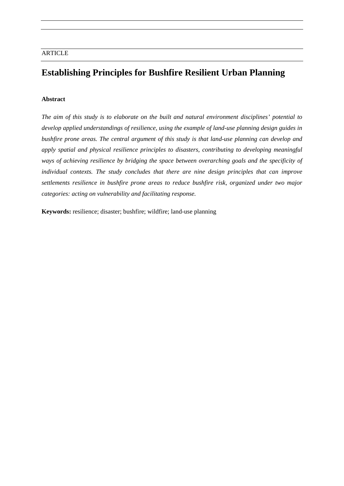# **Establishing Principles for Bushfire Resilient Urban Planning**

# **Abstract**

*The aim of this study is to elaborate on the built and natural environment disciplines' potential to develop applied understandings of resilience, using the example of land-use planning design guides in bushfire prone areas. The central argument of this study is that land-use planning can develop and apply spatial and physical resilience principles to disasters, contributing to developing meaningful ways of achieving resilience by bridging the space between overarching goals and the specificity of individual contexts. The study concludes that there are nine design principles that can improve settlements resilience in bushfire prone areas to reduce bushfire risk, organized under two major categories: acting on vulnerability and facilitating response.* 

**Keywords:** resilience; disaster; bushfire; wildfire; land-use planning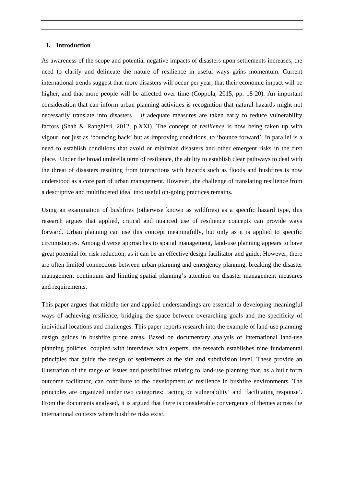#### **1. Introduction**

As awareness of the scope and potential negative impacts of disasters upon settlements increases, the need to clarify and delineate the nature of resilience in useful ways gains momentum. Current international trends suggest that more disasters will occur per year, that their economic impact will be higher, and that more people will be affected over time (Coppola, 2015, pp. 18-20). An important consideration that can inform urban planning activities is recognition that natural hazards might not necessarily translate into disasters  $-$  *if* adequate measures are taken early to reduce vulnerability factors (Shah & Ranghieri, 2012, p.XXI). The concept of *resilience* is now being taken up with vigour, not just as 'bouncing back' but as improving conditions, to 'bounce forward'. In parallel is a need to establish conditions that avoid or minimize disasters and other emergent risks in the first place. Under the broad umbrella term of resilience, the ability to establish clear pathways to deal with the threat of disasters resulting from interactions with hazards such as floods and bushfires is now understood as a core part of urban management. However, the challenge of translating resilience from a descriptive and multifaceted ideal into useful on-going practices remains.

Using an examination of bushfires (otherwise known as wildfires) as a specific hazard type, this research argues that applied, critical and nuanced use of resilience concepts can provide ways forward. Urban planning can use this concept meaningfully, but only as it is applied to specific circumstances. Among diverse approaches to spatial management, land-use planning appears to have great potential for risk reduction, as it can be an effective design facilitator and guide. However, there are often limited connections between urban planning and emergency planning, breaking the disaster management continuum and limiting spatial planning's attention on disaster management measures and requirements.

This paper argues that middle-tier and applied understandings are essential to developing meaningful ways of achieving resilience, bridging the space between overarching goals and the specificity of individual locations and challenges. This paper reports research into the example of land-use planning design guides in bushfire prone areas. Based on documentary analysis of international land-use planning policies, coupled with interviews with experts, the research establishes nine fundamental principles that guide the design of settlements at the site and subdivision level. These provide an illustration of the range of issues and possibilities relating to land-use planning that, as a built form outcome facilitator, can contribute to the development of resilience in bushfire environments. The principles are organized under two categories: 'acting on vulnerability' and 'facilitating response'. From the documents analysed, it is argued that there is considerable convergence of themes across the international contexts where bushfire risks exist.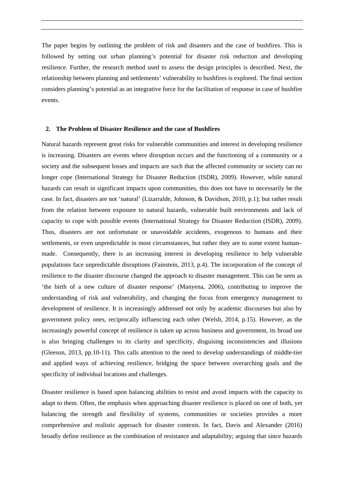The paper begins by outlining the problem of risk and disasters and the case of bushfires. This is followed by setting out urban planning's potential for disaster risk reduction and developing resilience. Further, the research method used to assess the design principles is described. Next, the relationship between planning and settlements' vulnerability to bushfires is explored. The final section considers planning's potential as an integrative force for the facilitation of response in case of bushfire events.

#### **2. The Problem of Disaster Resilience and the case of Bushfires**

Natural hazards represent great risks for vulnerable communities and interest in developing resilience is increasing. Disasters are events where disruption occurs and the functioning of a community or a society and the subsequent losses and impacts are such that the affected community or society can no longer cope (International Strategy for Disaster Reduction (ISDR), 2009). However, while natural hazards can result in significant impacts upon communities, this does not have to necessarily be the case. In fact, disasters are not 'natural' (Lizarralde, Johnson, & Davidson, 2010, p.1); but rather result from the relation between exposure to natural hazards, vulnerable built environments and lack of capacity to cope with possible events (International Strategy for Disaster Reduction (ISDR), 2009). Thus, disasters are not unfortunate or unavoidable accidents, exogenous to humans and their settlements, or even unpredictable in most circumstances, but rather they are to some extent human– made. Consequently, there is an increasing interest in developing resilience to help vulnerable populations face unpredictable disruptions (Fainstein, 2013, p.4). The incorporation of the concept of resilience to the disaster discourse changed the approach to disaster management. This can be seen as 'the birth of a new culture of disaster response' (Manyena, 2006), contributing to improve the understanding of risk and vulnerability, and changing the focus from emergency management to development of resilience. It is increasingly addressed not only by academic discourses but also by government policy ones, reciprocally influencing each other (Welsh, 2014, p.15). However, as the increasingly powerful concept of resilience is taken up across business and government, its broad use is also bringing challenges to its clarity and specificity, disguising inconsistencies and illusions (Gleeson, 2013, pp.10-11). This calls attention to the need to develop understandings of middle-tier and applied ways of achieving resilience, bridging the space between overarching goals and the specificity of individual locations and challenges.

Disaster resilience is based upon balancing abilities to resist and avoid impacts with the capacity to adapt to them. Often, the emphasis when approaching disaster resilience is placed on one of both, yet balancing the strength and flexibility of systems, communities or societies provides a more comprehensive and realistic approach for disaster contexts. In fact, Davis and Alexander (2016) broadly define resilience as the combination of resistance and adaptability; arguing that since hazards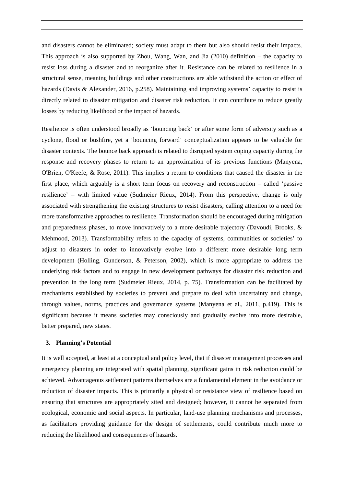and disasters cannot be eliminated; society must adapt to them but also should resist their impacts. This approach is also supported by Zhou, Wang, Wan, and Jia (2010) definition – the capacity to resist loss during a disaster and to reorganize after it. Resistance can be related to resilience in a structural sense, meaning buildings and other constructions are able withstand the action or effect of hazards (Davis & Alexander, 2016, p.258). Maintaining and improving systems' capacity to resist is directly related to disaster mitigation and disaster risk reduction. It can contribute to reduce greatly losses by reducing likelihood or the impact of hazards.

Resilience is often understood broadly as 'bouncing back' or after some form of adversity such as a cyclone, flood or bushfire, yet a 'bouncing forward' conceptualization appears to be valuable for disaster contexts. The bounce back approach is related to disrupted system coping capacity during the response and recovery phases to return to an approximation of its previous functions (Manyena, O'Brien, O'Keefe, & Rose, 2011). This implies a return to conditions that caused the disaster in the first place, which arguably is a short term focus on recovery and reconstruction – called 'passive resilience' – with limited value (Sudmeier Rieux, 2014). From this perspective, change is only associated with strengthening the existing structures to resist disasters, calling attention to a need for more transformative approaches to resilience. Transformation should be encouraged during mitigation and preparedness phases, to move innovatively to a more desirable trajectory (Davoudi, Brooks, & Mehmood, 2013). Transformability refers to the capacity of systems, communities or societies' to adjust to disasters in order to innovatively evolve into a different more desirable long term development (Holling, Gunderson, & Peterson, 2002), which is more appropriate to address the underlying risk factors and to engage in new development pathways for disaster risk reduction and prevention in the long term (Sudmeier Rieux, 2014, p. 75). Transformation can be facilitated by mechanisms established by societies to prevent and prepare to deal with uncertainty and change, through values, norms, practices and governance systems (Manyena et al., 2011, p.419). This is significant because it means societies may consciously and gradually evolve into more desirable, better prepared, new states.

#### **3. Planning's Potential**

It is well accepted, at least at a conceptual and policy level, that if disaster management processes and emergency planning are integrated with spatial planning, significant gains in risk reduction could be achieved. Advantageous settlement patterns themselves are a fundamental element in the avoidance or reduction of disaster impacts. This is primarily a physical or resistance view of resilience based on ensuring that structures are appropriately sited and designed; however, it cannot be separated from ecological, economic and social aspects. In particular, land-use planning mechanisms and processes, as facilitators providing guidance for the design of settlements, could contribute much more to reducing the likelihood and consequences of hazards.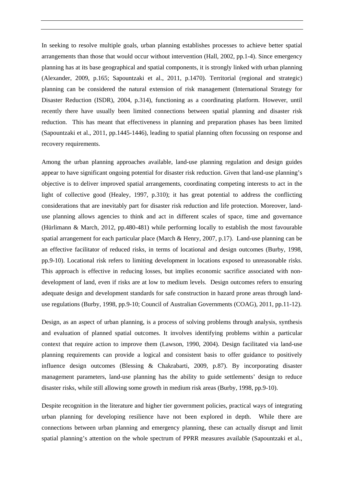In seeking to resolve multiple goals, urban planning establishes processes to achieve better spatial arrangements than those that would occur without intervention (Hall, 2002, pp.1-4). Since emergency planning has at its base geographical and spatial components, it is strongly linked with urban planning (Alexander, 2009, p.165; Sapountzaki et al., 2011, p.1470). Territorial (regional and strategic) planning can be considered the natural extension of risk management (International Strategy for Disaster Reduction (ISDR), 2004, p.314), functioning as a coordinating platform. However, until recently there have usually been limited connections between spatial planning and disaster risk reduction. This has meant that effectiveness in planning and preparation phases has been limited (Sapountzaki et al., 2011, pp.1445-1446), leading to spatial planning often focussing on response and recovery requirements.

Among the urban planning approaches available, land-use planning regulation and design guides appear to have significant ongoing potential for disaster risk reduction. Given that land-use planning's objective is to deliver improved spatial arrangements, coordinating competing interests to act in the light of collective good (Healey, 1997, p.310); it has great potential to address the conflicting considerations that are inevitably part for disaster risk reduction and life protection. Moreover, landuse planning allows agencies to think and act in different scales of space, time and governance (Hürlimann & March, 2012, pp.480-481) while performing locally to establish the most favourable spatial arrangement for each particular place (March & Henry, 2007, p.17). Land-use planning can be an effective facilitator of reduced risks, in terms of locational and design outcomes (Burby, 1998, pp.9-10). Locational risk refers to limiting development in locations exposed to unreasonable risks. This approach is effective in reducing losses, but implies economic sacrifice associated with nondevelopment of land, even if risks are at low to medium levels. Design outcomes refers to ensuring adequate design and development standards for safe construction in hazard prone areas through landuse regulations (Burby, 1998, pp.9-10; Council of Australian Governments (COAG), 2011, pp.11-12).

Design, as an aspect of urban planning, is a process of solving problems through analysis, synthesis and evaluation of planned spatial outcomes. It involves identifying problems within a particular context that require action to improve them (Lawson, 1990, 2004). Design facilitated via land-use planning requirements can provide a logical and consistent basis to offer guidance to positively influence design outcomes (Blessing & Chakrabarti, 2009, p.87). By incorporating disaster management parameters, land-use planning has the ability to guide settlements' design to reduce disaster risks, while still allowing some growth in medium risk areas (Burby, 1998, pp.9-10).

Despite recognition in the literature and higher tier government policies, practical ways of integrating urban planning for developing resilience have not been explored in depth. While there are connections between urban planning and emergency planning, these can actually disrupt and limit spatial planning's attention on the whole spectrum of PPRR measures available (Sapountzaki et al.,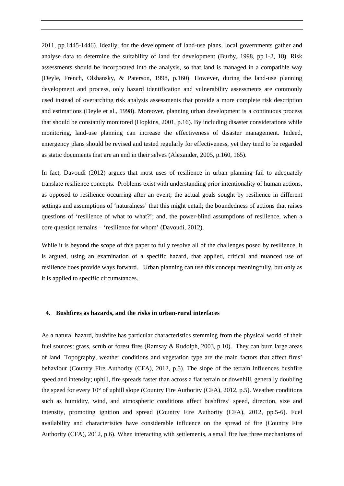2011, pp.1445-1446). Ideally, for the development of land-use plans, local governments gather and analyse data to determine the suitability of land for development (Burby, 1998, pp.1-2, 18). Risk assessments should be incorporated into the analysis, so that land is managed in a compatible way (Deyle, French, Olshansky, & Paterson, 1998, p.160). However, during the land-use planning development and process, only hazard identification and vulnerability assessments are commonly used instead of overarching risk analysis assessments that provide a more complete risk description and estimations (Deyle et al., 1998). Moreover, planning urban development is a continuous process that should be constantly monitored (Hopkins, 2001, p.16). By including disaster considerations while monitoring, land-use planning can increase the effectiveness of disaster management. Indeed, emergency plans should be revised and tested regularly for effectiveness, yet they tend to be regarded as static documents that are an end in their selves (Alexander, 2005, p.160, 165).

In fact, Davoudi (2012) argues that most uses of resilience in urban planning fail to adequately translate resilience concepts. Problems exist with understanding prior intentionality of human actions, as opposed to resilience occurring after an event; the actual goals sought by resilience in different settings and assumptions of 'naturalness' that this might entail; the boundedness of actions that raises questions of 'resilience of what to what?'; and, the power-blind assumptions of resilience, when a core question remains – 'resilience for whom' (Davoudi, 2012).

While it is beyond the scope of this paper to fully resolve all of the challenges posed by resilience, it is argued, using an examination of a specific hazard, that applied, critical and nuanced use of resilience does provide ways forward. Urban planning can use this concept meaningfully, but only as it is applied to specific circumstances.

### **4. Bushfires as hazards, and the risks in urban-rural interfaces**

As a natural hazard, bushfire has particular characteristics stemming from the physical world of their fuel sources: grass, scrub or forest fires (Ramsay & Rudolph, 2003, p.10). They can burn large areas of land. Topography, weather conditions and vegetation type are the main factors that affect fires' behaviour (Country Fire Authority (CFA), 2012, p.5). The slope of the terrain influences bushfire speed and intensity; uphill, fire spreads faster than across a flat terrain or downhill, generally doubling the speed for every 10° of uphill slope (Country Fire Authority (CFA), 2012, p.5). Weather conditions such as humidity, wind, and atmospheric conditions affect bushfires' speed, direction, size and intensity, promoting ignition and spread (Country Fire Authority (CFA), 2012, pp.5-6). Fuel availability and characteristics have considerable influence on the spread of fire (Country Fire Authority (CFA), 2012, p.6). When interacting with settlements, a small fire has three mechanisms of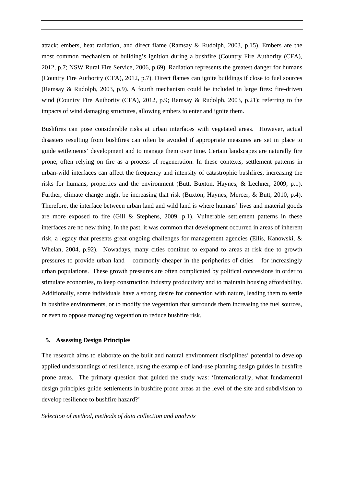attack: embers, heat radiation, and direct flame (Ramsay & Rudolph, 2003, p.15). Embers are the most common mechanism of building's ignition during a bushfire (Country Fire Authority (CFA), 2012, p.7; NSW Rural Fire Service, 2006, p.69). Radiation represents the greatest danger for humans (Country Fire Authority (CFA), 2012, p.7). Direct flames can ignite buildings if close to fuel sources (Ramsay & Rudolph, 2003, p.9). A fourth mechanism could be included in large fires: fire-driven wind (Country Fire Authority (CFA), 2012, p.9; Ramsay & Rudolph, 2003, p.21); referring to the impacts of wind damaging structures, allowing embers to enter and ignite them.

Bushfires can pose considerable risks at urban interfaces with vegetated areas. However, actual disasters resulting from bushfires can often be avoided if appropriate measures are set in place to guide settlements' development and to manage them over time. Certain landscapes are naturally fire prone, often relying on fire as a process of regeneration. In these contexts, settlement patterns in urban-wild interfaces can affect the frequency and intensity of catastrophic bushfires, increasing the risks for humans, properties and the environment (Butt, Buxton, Haynes, & Lechner, 2009, p.1). Further, climate change might be increasing that risk (Buxton, Haynes, Mercer, & Butt, 2010, p.4). Therefore, the interface between urban land and wild land is where humans' lives and material goods are more exposed to fire (Gill & Stephens, 2009, p.1). Vulnerable settlement patterns in these interfaces are no new thing. In the past, it was common that development occurred in areas of inherent risk, a legacy that presents great ongoing challenges for management agencies (Ellis, Kanowski, & Whelan, 2004, p.92). Nowadays, many cities continue to expand to areas at risk due to growth pressures to provide urban land – commonly cheaper in the peripheries of cities – for increasingly urban populations. These growth pressures are often complicated by political concessions in order to stimulate economies, to keep construction industry productivity and to maintain housing affordability. Additionally, some individuals have a strong desire for connection with nature, leading them to settle in bushfire environments, or to modify the vegetation that surrounds them increasing the fuel sources, or even to oppose managing vegetation to reduce bushfire risk.

#### **5. Assessing Design Principles**

The research aims to elaborate on the built and natural environment disciplines' potential to develop applied understandings of resilience, using the example of land-use planning design guides in bushfire prone areas. The primary question that guided the study was: 'Internationally, what fundamental design principles guide settlements in bushfire prone areas at the level of the site and subdivision to develop resilience to bushfire hazard?'

#### *Selection of method, methods of data collection and analysis*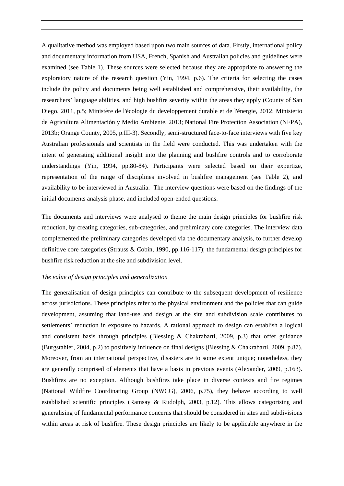A qualitative method was employed based upon two main sources of data. Firstly, international policy and documentary information from USA, French, Spanish and Australian policies and guidelines were examined (see Table 1). These sources were selected because they are appropriate to answering the exploratory nature of the research question (Yin, 1994, p.6). The criteria for selecting the cases include the policy and documents being well established and comprehensive, their availability, the researchers' language abilities, and high bushfire severity within the areas they apply (County of San Diego, 2011, p.5; Ministère de l'écologie du developpement durable et de l'énergie, 2012; Ministerio de Agricultura Alimentación y Medio Ambiente, 2013; National Fire Protection Association (NFPA), 2013b; Orange County, 2005, p.III-3). Secondly, semi-structured face-to-face interviews with five key Australian professionals and scientists in the field were conducted. This was undertaken with the intent of generating additional insight into the planning and bushfire controls and to corroborate understandings (Yin, 1994, pp.80-84). Participants were selected based on their expertize, representation of the range of disciplines involved in bushfire management (see Table 2), and availability to be interviewed in Australia. The interview questions were based on the findings of the initial documents analysis phase, and included open-ended questions.

The documents and interviews were analysed to theme the main design principles for bushfire risk reduction, by creating categories, sub-categories, and preliminary core categories. The interview data complemented the preliminary categories developed via the documentary analysis, to further develop definitive core categories (Strauss & Cobin, 1990, pp.116-117); the fundamental design principles for bushfire risk reduction at the site and subdivision level.

#### *The value of design principles and generalization*

The generalisation of design principles can contribute to the subsequent development of resilience across jurisdictions. These principles refer to the physical environment and the policies that can guide development, assuming that land-use and design at the site and subdivision scale contributes to settlements' reduction in exposure to hazards. A rational approach to design can establish a logical and consistent basis through principles (Blessing & Chakrabarti, 2009, p.3) that offer guidance (Burgstahler, 2004, p.2) to positively influence on final designs (Blessing & Chakrabarti, 2009, p.87). Moreover, from an international perspective, disasters are to some extent unique; nonetheless, they are generally comprised of elements that have a basis in previous events (Alexander, 2009, p.163). Bushfires are no exception. Although bushfires take place in diverse contexts and fire regimes (National Wildfire Coordinating Group (NWCG), 2006, p.75), they behave according to well established scientific principles (Ramsay & Rudolph, 2003, p.12). This allows categorising and generalising of fundamental performance concerns that should be considered in sites and subdivisions within areas at risk of bushfire. These design principles are likely to be applicable anywhere in the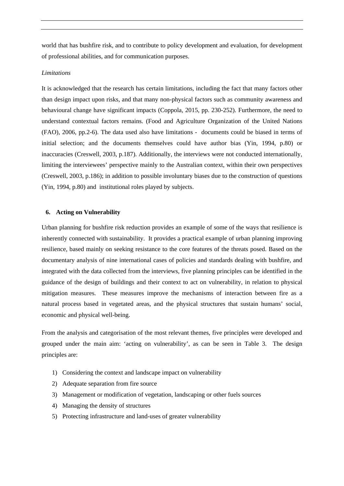world that has bushfire risk, and to contribute to policy development and evaluation, for development of professional abilities, and for communication purposes.

## *Limitations*

It is acknowledged that the research has certain limitations, including the fact that many factors other than design impact upon risks, and that many non-physical factors such as community awareness and behavioural change have significant impacts (Coppola, 2015, pp. 230-252). Furthermore, the need to understand contextual factors remains. (Food and Agriculture Organization of the United Nations (FAO), 2006, pp.2-6). The data used also have limitations - documents could be biased in terms of initial selection; and the documents themselves could have author bias (Yin, 1994, p.80) or inaccuracies (Creswell, 2003, p.187). Additionally, the interviews were not conducted internationally, limiting the interviewees' perspective mainly to the Australian context, within their own perspectives (Creswell, 2003, p.186); in addition to possible involuntary biases due to the construction of questions (Yin, 1994, p.80) and institutional roles played by subjects.

#### **6. Acting on Vulnerability**

Urban planning for bushfire risk reduction provides an example of some of the ways that resilience is inherently connected with sustainability. It provides a practical example of urban planning improving resilience, based mainly on seeking resistance to the core features of the threats posed. Based on the documentary analysis of nine international cases of policies and standards dealing with bushfire, and integrated with the data collected from the interviews, five planning principles can be identified in the guidance of the design of buildings and their context to act on vulnerability, in relation to physical mitigation measures. These measures improve the mechanisms of interaction between fire as a natural process based in vegetated areas, and the physical structures that sustain humans' social, economic and physical well-being.

From the analysis and categorisation of the most relevant themes, five principles were developed and grouped under the main aim: 'acting on vulnerability', as can be seen in Table 3. The design principles are:

- 1) Considering the context and landscape impact on vulnerability
- 2) Adequate separation from fire source
- 3) Management or modification of vegetation, landscaping or other fuels sources
- 4) Managing the density of structures
- 5) Protecting infrastructure and land-uses of greater vulnerability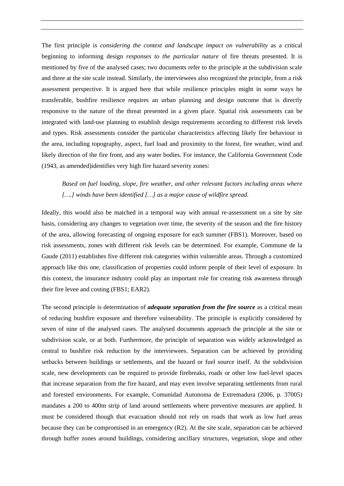The first principle is *considering the context and landscape impact on vulnerability* as a critical beginning to informing design *responses to the particular nature* of fire threats presented. It is mentioned by five of the analysed cases; two documents refer to the principle at the subdivision scale and three at the site scale instead. Similarly, the interviewees also recognized the principle, from a risk assessment perspective. It is argued here that while resilience principles might in some ways be transferable, bushfire resilience requires an urban planning and design outcome that is directly responsive to the nature of the threat presented in a given place. Spatial risk assessments can be integrated with land-use planning to establish design requirements according to different risk levels and types. Risk assessments consider the particular characteristics affecting likely fire behaviour in the area, including topography, aspect, fuel load and proximity to the forest, fire weather, wind and likely direction of the fire front, and any water bodies. For instance, the California Government Code (1943, as amended)identifies very high fire hazard severity zones:

# *Based on fuel loading, slope, fire weather, and other relevant factors including areas where*  [....] winds have been identified [...] as a major cause of wildfire spread.

Ideally, this would also be matched in a temporal way with annual re-assessment on a site by site basis, considering any changes to vegetation over time, the severity of the season and the fire history of the area, allowing forecasting of ongoing exposure for each summer (FBS1). Moreover, based on risk assessments, zones with different risk levels can be determined. For example, Commune de la Gaude (2011) establishes five different risk categories within vulnerable areas. Through a customized approach like this one, classification of properties could inform people of their level of exposure. In this context, the insurance industry could play an important role for creating risk awareness through their fire levee and costing (FBS1; EAR2).

The second principle is determination of *adequate separation from the fire source* as a critical mean of reducing bushfire exposure and therefore vulnerability. The principle is explicitly considered by seven of nine of the analysed cases. The analysed documents approach the principle at the site or subdivision scale, or at both. Furthermore, the principle of separation was widely acknowledged as central to bushfire risk reduction by the interviewees. Separation can be achieved by providing setbacks between buildings or settlements, and the hazard or fuel source itself. At the subdivision scale, new developments can be required to provide firebreaks, roads or other low fuel-level spaces that increase separation from the fire hazard, and may even involve separating settlements from rural and forested environments. For example, Comunidad Autonoma de Extremadura (2006, p. 37005) mandates a 200 to 400m strip of land around settlements where preventive measures are applied. It must be considered though that evacuation should not rely on roads that work as low fuel areas because they can be compromised in an emergency (R2). At the site scale, separation can be achieved through buffer zones around buildings, considering ancillary structures, vegetation, slope and other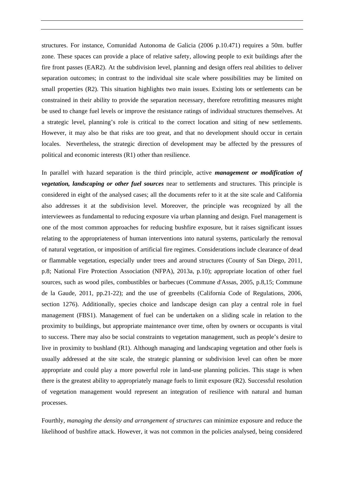structures. For instance, Comunidad Autonoma de Galicia (2006 p.10.471) requires a 50m. buffer zone. These spaces can provide a place of relative safety, allowing people to exit buildings after the fire front passes (EAR2). At the subdivision level, planning and design offers real abilities to deliver separation outcomes; in contrast to the individual site scale where possibilities may be limited on small properties (R2). This situation highlights two main issues. Existing lots or settlements can be constrained in their ability to provide the separation necessary, therefore retrofitting measures might be used to change fuel levels or improve the resistance ratings of individual structures themselves. At a strategic level, planning's role is critical to the correct location and siting of new settlements. However, it may also be that risks are too great, and that no development should occur in certain locales. Nevertheless, the strategic direction of development may be affected by the pressures of political and economic interests (R1) other than resilience.

In parallel with hazard separation is the third principle, active *management or modification of vegetation, landscaping or other fuel sources* near to settlements and structures. This principle is considered in eight of the analysed cases; all the documents refer to it at the site scale and California also addresses it at the subdivision level. Moreover, the principle was recognized by all the interviewees as fundamental to reducing exposure via urban planning and design. Fuel management is one of the most common approaches for reducing bushfire exposure, but it raises significant issues relating to the appropriateness of human interventions into natural systems, particularly the removal of natural vegetation, or imposition of artificial fire regimes. Considerations include clearance of dead or flammable vegetation, especially under trees and around structures (County of San Diego, 2011, p.8; National Fire Protection Association (NFPA), 2013a, p.10); appropriate location of other fuel sources, such as wood piles, combustibles or barbecues (Commune d'Assas, 2005, p.8,15; Commune de la Gaude, 2011, pp.21-22); and the use of greenbelts (California Code of Regulations, 2006, section 1276). Additionally, species choice and landscape design can play a central role in fuel management (FBS1). Management of fuel can be undertaken on a sliding scale in relation to the proximity to buildings, but appropriate maintenance over time, often by owners or occupants is vital to success. There may also be social constraints to vegetation management, such as people's desire to live in proximity to bushland (R1). Although managing and landscaping vegetation and other fuels is usually addressed at the site scale, the strategic planning or subdivision level can often be more appropriate and could play a more powerful role in land-use planning policies. This stage is when there is the greatest ability to appropriately manage fuels to limit exposure (R2). Successful resolution of vegetation management would represent an integration of resilience with natural and human processes.

Fourthly, *managing the density and arrangement of structures* can minimize exposure and reduce the likelihood of bushfire attack. However, it was not common in the policies analysed, being considered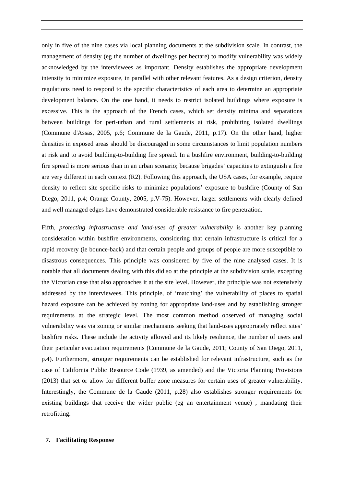only in five of the nine cases via local planning documents at the subdivision scale. In contrast, the management of density (eg the number of dwellings per hectare) to modify vulnerability was widely acknowledged by the interviewees as important. Density establishes the appropriate development intensity to minimize exposure, in parallel with other relevant features. As a design criterion, density regulations need to respond to the specific characteristics of each area to determine an appropriate development balance. On the one hand, it needs to restrict isolated buildings where exposure is excessive. This is the approach of the French cases, which set density minima and separations between buildings for peri-urban and rural settlements at risk, prohibiting isolated dwellings (Commune d'Assas, 2005, p.6; Commune de la Gaude, 2011, p.17). On the other hand, higher densities in exposed areas should be discouraged in some circumstances to limit population numbers at risk and to avoid building-to-building fire spread. In a bushfire environment, building-to-building fire spread is more serious than in an urban scenario; because brigades' capacities to extinguish a fire are very different in each context (R2). Following this approach, the USA cases, for example, require density to reflect site specific risks to minimize populations' exposure to bushfire (County of San Diego, 2011, p.4; Orange County, 2005, p.V-75). However, larger settlements with clearly defined and well managed edges have demonstrated considerable resistance to fire penetration.

Fifth, *protecting infrastructure and land-uses of greater vulnerability* is another key planning consideration within bushfire environments, considering that certain infrastructure is critical for a rapid recovery (ie bounce-back) and that certain people and groups of people are more susceptible to disastrous consequences. This principle was considered by five of the nine analysed cases. It is notable that all documents dealing with this did so at the principle at the subdivision scale, excepting the Victorian case that also approaches it at the site level. However, the principle was not extensively addressed by the interviewees. This principle, of 'matching' the vulnerability of places to spatial hazard exposure can be achieved by zoning for appropriate land-uses and by establishing stronger requirements at the strategic level. The most common method observed of managing social vulnerability was via zoning or similar mechanisms seeking that land-uses appropriately reflect sites' bushfire risks. These include the activity allowed and its likely resilience, the number of users and their particular evacuation requirements (Commune de la Gaude, 2011; County of San Diego, 2011, p.4). Furthermore, stronger requirements can be established for relevant infrastructure, such as the case of California Public Resource Code (1939, as amended) and the Victoria Planning Provisions (2013) that set or allow for different buffer zone measures for certain uses of greater vulnerability. Interestingly, the Commune de la Gaude (2011, p.28) also establishes stronger requirements for existing buildings that receive the wider public (eg an entertainment venue) , mandating their retrofitting.

#### **7. Facilitating Response**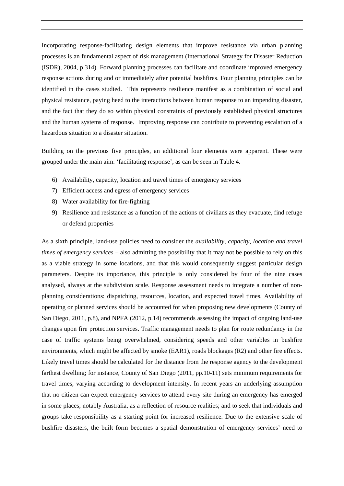Incorporating response-facilitating design elements that improve resistance via urban planning processes is an fundamental aspect of risk management (International Strategy for Disaster Reduction (ISDR), 2004, p.314). Forward planning processes can facilitate and coordinate improved emergency response actions during and or immediately after potential bushfires. Four planning principles can be identified in the cases studied. This represents resilience manifest as a combination of social and physical resistance, paying heed to the interactions between human response to an impending disaster, and the fact that they do so within physical constraints of previously established physical structures and the human systems of response. Improving response can contribute to preventing escalation of a hazardous situation to a disaster situation.

Building on the previous five principles, an additional four elements were apparent. These were grouped under the main aim: 'facilitating response', as can be seen in Table 4.

- 6) Availability, capacity, location and travel times of emergency services
- 7) Efficient access and egress of emergency services
- 8) Water availability for fire-fighting
- 9) Resilience and resistance as a function of the actions of civilians as they evacuate, find refuge or defend properties

As a sixth principle, land-use policies need to consider the *availability, capacity, location and travel times of emergency services* – also admitting the possibility that it may not be possible to rely on this as a viable strategy in some locations, and that this would consequently suggest particular design parameters. Despite its importance, this principle is only considered by four of the nine cases analysed, always at the subdivision scale. Response assessment needs to integrate a number of nonplanning considerations: dispatching, resources, location, and expected travel times. Availability of operating or planned services should be accounted for when proposing new developments (County of San Diego, 2011, p.8), and NPFA (2012, p.14) recommends assessing the impact of ongoing land-use changes upon fire protection services. Traffic management needs to plan for route redundancy in the case of traffic systems being overwhelmed, considering speeds and other variables in bushfire environments, which might be affected by smoke (EAR1), roads blockages (R2) and other fire effects. Likely travel times should be calculated for the distance from the response agency to the development farthest dwelling; for instance, County of San Diego (2011, pp.10-11) sets minimum requirements for travel times, varying according to development intensity. In recent years an underlying assumption that no citizen can expect emergency services to attend every site during an emergency has emerged in some places, notably Australia, as a reflection of resource realities; and to seek that individuals and groups take responsibility as a starting point for increased resilience. Due to the extensive scale of bushfire disasters, the built form becomes a spatial demonstration of emergency services' need to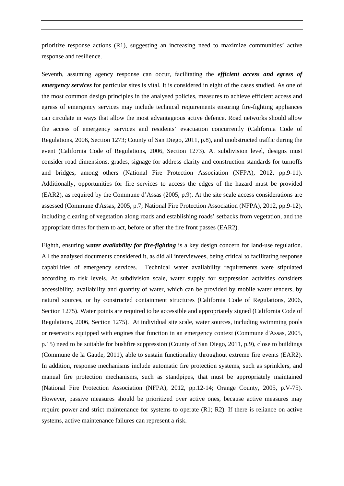prioritize response actions (R1), suggesting an increasing need to maximize communities' active response and resilience.

Seventh, assuming agency response can occur, facilitating the *efficient access and egress of emergency services* for particular sites is vital. It is considered in eight of the cases studied. As one of the most common design principles in the analysed policies, measures to achieve efficient access and egress of emergency services may include technical requirements ensuring fire-fighting appliances can circulate in ways that allow the most advantageous active defence. Road networks should allow the access of emergency services and residents' evacuation concurrently (California Code of Regulations, 2006, Section 1273; County of San Diego, 2011, p.8), and unobstructed traffic during the event (California Code of Regulations, 2006, Section 1273). At subdivision level, designs must consider road dimensions, grades, signage for address clarity and construction standards for turnoffs and bridges, among others (National Fire Protection Association (NFPA), 2012, pp.9-11). Additionally, opportunities for fire services to access the edges of the hazard must be provided (EAR2), as required by the Commune d'Assas (2005, p.9). At the site scale access considerations are assessed (Commune d'Assas, 2005, p.7; National Fire Protection Association (NFPA), 2012, pp.9-12), including clearing of vegetation along roads and establishing roads' setbacks from vegetation, and the appropriate times for them to act, before or after the fire front passes (EAR2).

Eighth, ensuring *water availability for fire-fighting* is a key design concern for land-use regulation. All the analysed documents considered it, as did all interviewees, being critical to facilitating response capabilities of emergency services. Technical water availability requirements were stipulated according to risk levels. At subdivision scale, water supply for suppression activities considers accessibility, availability and quantity of water, which can be provided by mobile water tenders, by natural sources, or by constructed containment structures (California Code of Regulations, 2006, Section 1275). Water points are required to be accessible and appropriately signed (California Code of Regulations, 2006, Section 1275). At individual site scale, water sources, including swimming pools or reservoirs equipped with engines that function in an emergency context (Commune d'Assas, 2005, p.15) need to be suitable for bushfire suppression (County of San Diego, 2011, p.9), close to buildings (Commune de la Gaude, 2011), able to sustain functionality throughout extreme fire events (EAR2). In addition, response mechanisms include automatic fire protection systems, such as sprinklers, and manual fire protection mechanisms, such as standpipes, that must be appropriately maintained (National Fire Protection Association (NFPA), 2012, pp.12-14; Orange County, 2005, p.V-75). However, passive measures should be prioritized over active ones, because active measures may require power and strict maintenance for systems to operate (R1; R2). If there is reliance on active systems, active maintenance failures can represent a risk.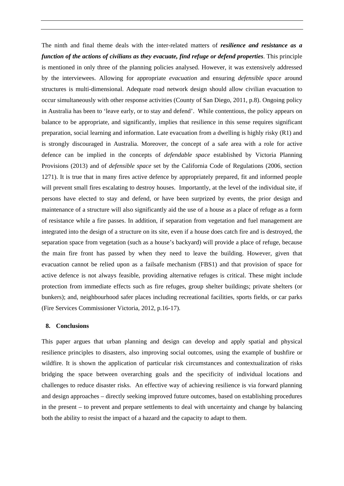The ninth and final theme deals with the inter-related matters of *resilience and resistance as a function of the actions of civilians as they evacuate, find refuge or defend properties*. This principle is mentioned in only three of the planning policies analysed. However, it was extensively addressed by the interviewees. Allowing for appropriate *evacuation* and ensuring *defensible space* around structures is multi-dimensional. Adequate road network design should allow civilian evacuation to occur simultaneously with other response activities (County of San Diego, 2011, p.8). Ongoing policy in Australia has been to 'leave early, or to stay and defend'. While contentious, the policy appears on balance to be appropriate, and significantly, implies that resilience in this sense requires significant preparation, social learning and information. Late evacuation from a dwelling is highly risky (R1) and is strongly discouraged in Australia. Moreover, the concept of a safe area with a role for active defence can be implied in the concepts of *defendable space* established by Victoria Planning Provisions (2013) and of *defensible space* set by the California Code of Regulations (2006, section 1271). It is true that in many fires active defence by appropriately prepared, fit and informed people will prevent small fires escalating to destroy houses. Importantly, at the level of the individual site, if persons have elected to stay and defend, or have been surprized by events, the prior design and maintenance of a structure will also significantly aid the use of a house as a place of refuge as a form of resistance while a fire passes. In addition, if separation from vegetation and fuel management are integrated into the design of a structure on its site, even if a house does catch fire and is destroyed, the separation space from vegetation (such as a house's backyard) will provide a place of refuge, because the main fire front has passed by when they need to leave the building. However, given that evacuation cannot be relied upon as a failsafe mechanism (FBS1) and that provision of space for active defence is not always feasible, providing alternative refuges is critical. These might include protection from immediate effects such as fire refuges, group shelter buildings; private shelters (or bunkers); and, neighbourhood safer places including recreational facilities, sports fields, or car parks (Fire Services Commissioner Victoria, 2012, p.16-17).

#### **8. Conclusions**

This paper argues that urban planning and design can develop and apply spatial and physical resilience principles to disasters, also improving social outcomes, using the example of bushfire or wildfire. It is shown the application of particular risk circumstances and contextualization of risks bridging the space between overarching goals and the specificity of individual locations and challenges to reduce disaster risks. An effective way of achieving resilience is via forward planning and design approaches – directly seeking improved future outcomes, based on establishing procedures in the present – to prevent and prepare settlements to deal with uncertainty and change by balancing both the ability to resist the impact of a hazard and the capacity to adapt to them.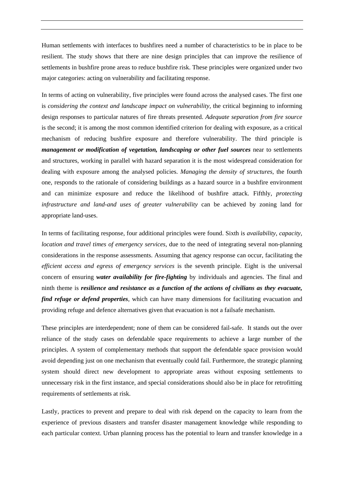Human settlements with interfaces to bushfires need a number of characteristics to be in place to be resilient. The study shows that there are nine design principles that can improve the resilience of settlements in bushfire prone areas to reduce bushfire risk. These principles were organized under two major categories: acting on vulnerability and facilitating response.

In terms of acting on vulnerability, five principles were found across the analysed cases. The first one is *considering the context and landscape impact on vulnerability,* the critical beginning to informing design responses to particular natures of fire threats presented. *Adequate separation from fire source* is the second; it is among the most common identified criterion for dealing with exposure, as a critical mechanism of reducing bushfire exposure and therefore vulnerability. The third principle is *management or modification of vegetation, landscaping or other fuel sources* near to settlements and structures*,* working in parallel with hazard separation it is the most widespread consideration for dealing with exposure among the analysed policies. *Managing the density of structures*, the fourth one, responds to the rationale of considering buildings as a hazard source in a bushfire environment and can minimize exposure and reduce the likelihood of bushfire attack. Fifthly, *protecting infrastructure and land-and uses of greater vulnerability* can be achieved by zoning land for appropriate land-uses.

In terms of facilitating response, four additional principles were found. Sixth is *availability, capacity, location and travel times of emergency services*, due to the need of integrating several non-planning considerations in the response assessments. Assuming that agency response can occur, facilitating the *efficient access and egress of emergency services* is the seventh principle. Eight is the universal concern of ensuring *water availability for fire-fighting* by individuals and agencies. The final and ninth theme is *resilience and resistance as a function of the actions of civilians as they evacuate, find refuge or defend properties*, which can have many dimensions for facilitating evacuation and providing refuge and defence alternatives given that evacuation is not a failsafe mechanism.

These principles are interdependent; none of them can be considered fail-safe. It stands out the over reliance of the study cases on defendable space requirements to achieve a large number of the principles. A system of complementary methods that support the defendable space provision would avoid depending just on one mechanism that eventually could fail. Furthermore, the strategic planning system should direct new development to appropriate areas without exposing settlements to unnecessary risk in the first instance, and special considerations should also be in place for retrofitting requirements of settlements at risk.

Lastly, practices to prevent and prepare to deal with risk depend on the capacity to learn from the experience of previous disasters and transfer disaster management knowledge while responding to each particular context. Urban planning process has the potential to learn and transfer knowledge in a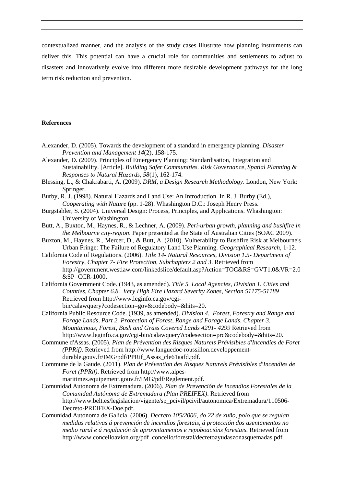contextualized manner, and the analysis of the study cases illustrate how planning instruments can deliver this. This potential can have a crucial role for communities and settlements to adjust to disasters and innovatively evolve into different more desirable development pathways for the long term risk reduction and prevention.

# **References**

- Alexander, D. (2005). Towards the development of a standard in emergency planning. *Disaster Prevention and Management 14*(2), 158-175.
- Alexander, D. (2009). Principles of Emergency Planning: Standardisation, Integration and Sustainability. [Article]. *Building Safer Communities. Risk Governance, Spatial Planning & Responses to Natural Hazards, 58*(1), 162-174.
- Blessing, L., & Chakrabarti, A. (2009). *DRM, a Design Research Methodology*. London, New York: Springer.
- Burby, R. J. (1998). Natural Hazards and Land Use: An Introduction. In R. J. Burby (Ed.), *Cooperating with Nature* (pp. 1-28). Whashington D.C.: Joseph Henry Press.
- Burgstahler, S. (2004). Universal Design: Process, Principles, and Applications. Whashington: University of Washington.
- Butt, A., Buxton, M., Haynes, R., & Lechner, A. (2009). *Peri-urban growth, planning and bushfire in the Melbourne city-region*. Paper presented at the State of Australian Cities (SOAC 2009).
- Buxton, M., Haynes, R., Mercer, D., & Butt, A. (2010). Vulnerability to Bushfire Risk at Melbourne's Urban Fringe: The Failure of Regulatory Land Use Planning. *Geographical Research*, 1-12.
- California Code of Regulations. (2006). *Title 14- Natural Resources, Division 1.5- Department of Forestry, Chapter 7- Fire Protection, Subchapters 2 and 3*. Retrieved from http://government.westlaw.com/linkedslice/default.asp?Action=TOC&RS=GVT1.0&VR=2.0 &SP=CCR-1000.
- California Government Code. (1943, as amended). *Title 5. Local Agencies, Division 1. Cities and Counties, Chapter 6.8. Very High Fire Hazard Severity Zones, Section 51175-51189*  Retrieved from http://www.leginfo.ca.gov/cgibin/calawquery?codesection=gov&codebody=&hits=20.
- California Public Resource Code. (1939, as amended). *Division 4. Forest, Forestry and Range and Forage Lands, Part 2. Protection of Forest, Range and Forage Lands, Chapter 3. Mountainous, Forest, Bush and Grass Covered Lands 4291- 4299* Retrieved from http://www.leginfo.ca.gov/cgi-bin/calawquery?codesection=prc&codebody=&hits=20.
- Commune d'Assas. (2005). *Plan de Prévention des Risques Naturels Prévisibles d'Incendies de Foret (PPRif)*. Retrieved from http://www.languedoc-roussillon.developpementdurable.gouv.fr/IMG/pdf/PPRif\_Assas\_cle61aafd.pdf.
- Commune de la Gaude. (2011). *Plan de Prévention des Risques Naturels Prévisibles d'Incendies de Foret (PPRif)*. Retrieved from http://www.alpesmaritimes.equipement.gouv.fr/IMG/pdf/Reglement.pdf.
- Comunidad Autonoma de Extremadura. (2006). *Plan de Prevención de Incendios Forestales de la Comunidad Autónoma de Extremadura (Plan PREIFEX)*. Retrieved from http://www.belt.es/legislacion/vigente/sp\_pcivil/pcivil/autonomica/Extremadura/110506- Decreto-PREIFEX-Doe.pdf.
- Comunidad Autonoma de Galicia. (2006). *Decreto 105/2006, do 22 de xuño, polo que se regulan medidas relativas á prevención de incendios forestais, á protección dos asentamentos no medio rural e á regulación de aproveitamentos e repoboacións forestais.* Retrieved from http://www.concelloavion.org/pdf\_concello/forestal/decretoayudaszonasquemadas.pdf.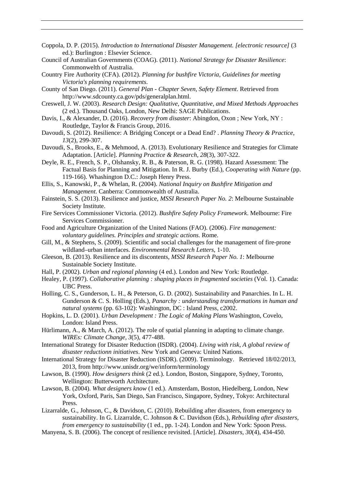- Coppola, D. P. (2015). *Introduction to International Disaster Management. [electronic resource]* (3 ed.): Burlington : Elsevier Science.
- Council of Australian Governments (COAG). (2011). *National Strategy for Disaster Resilience*: Commonwelth of Australia.
- Country Fire Authority (CFA). (2012). *Planning for bushfire Victoria, Guidelines for meeting Victoria's planning requirements*.
- County of San Diego. (2011). *General Plan Chapter Seven, Safety Element*. Retrieved from http://www.sdcounty.ca.gov/pds/generalplan.html.
- Creswell, J. W. (2003). *Research Design: Qualitative, Quantitative, and Mixed Methods Approaches* (2 ed.). Thousand Oaks, London, New Delhi: SAGE Publications.
- Davis, I., & Alexander, D. (2016). *Recovery from disaster*: Abingdon, Oxon ; New York, NY : Routledge, Taylor & Francis Group, 2016.
- Davoudi, S. (2012). Resilience: A Bridging Concept or a Dead End? . *Planning Theory & Practice, 13*(2), 299-307.
- Davoudi, S., Brooks, E., & Mehmood, A. (2013). Evolutionary Resilience and Strategies for Climate Adaptation. [Article]. *Planning Practice & Research, 28*(3), 307-322.
- Deyle, R. E., French, S. P., Olshansky, R. B., & Paterson, R. G. (1998). Hazard Assessment: The Factual Basis for Planning and Mitigation. In R. J. Burby (Ed.), *Cooperating with Nature* (pp. 119-166). Whashington D.C.: Joseph Henry Press.
- Ellis, S., Kanowski, P., & Whelan, R. (2004). *National Inquiry on Bushfire Mitigation and Management*. Canberra: Commonwealth of Australia.
- Fainstein, S. S. (2013). Resilience and justice, *MSSI Research Paper No. 2*: Melbourne Sustainable Society Institute.
- Fire Services Commissioner Victoria. (2012). *Bushfire Safety Policy Framework*. Melbourne: Fire Services Commissioner.
- Food and Agriculture Organization of the United Nations (FAO). (2006). *Fire management: voluntary guidelines. Principles and strategic actions.* Rome.
- Gill, M., & Stephens, S. (2009). Scientific and social challenges for the management of fire-prone wildland–urban interfaces. *Environmental Research Letters*, 1-10.
- Gleeson, B. (2013). Resilience and its discontents, *MSSI Research Paper No. 1*: Melbourne Sustainable Society Institute.
- Hall, P. (2002). *Urban and regional planning* (4 ed.). London and New York: Routledge.
- Healey, P. (1997). *Collaborative planning : shaping places in fragmented societies* (Vol. 1). Canada: UBC Press.
- Holling, C. S., Gunderson, L. H., & Peterson, G. D. (2002). Sustainability and Panarchies. In L. H. Gunderson & C. S. Holling (Eds.), *Panarchy : understanding transformations in human and natural systems* (pp. 63-102): Washington, DC : Island Press, c2002.
- Hopkins, L. D. (2001). *Urban Development : The Logic of Making Plans* Washington, Covelo, London: Island Press.
- Hürlimann, A., & March, A. (2012). The role of spatial planning in adapting to climate change. *WIREs: Climate Change, 3*(5), 477-488.
- International Strategy for Disaster Reduction (ISDR). (2004). *Living with risk, A global review of disaster reductionn initiatives*. New York and Geneva: United Nations.
- International Strategy for Disaster Reduction (ISDR). (2009). Terminology. Retrieved 18/02/2013, 2013, from http://www.unisdr.org/we/inform/terminology
- Lawson, B. (1990). *How designers think* (2 ed.). London, Boston, Singapore, Sydney, Toronto, Wellington: Butterworth Architecture.
- Lawson, B. (2004). *What designers know* (1 ed.). Amsterdam, Boston, Hiedelberg, London, New York, Oxford, Paris, San Diego, San Francisco, Singapore, Sydney, Tokyo: Architectural Press.
- Lizarralde, G., Johnson, C., & Davidson, C. (2010). Rebuilding after disasters, from emergency to sustainability. In G. Lizarralde, C. Johnson & C. Davidson (Eds.), *Rebuilding after disasters, from emergency to sustainability* (1 ed., pp. 1-24). London and New York: Spoon Press.
- Manyena, S. B. (2006). The concept of resilience revisited. [Article]. *Disasters, 30*(4), 434-450.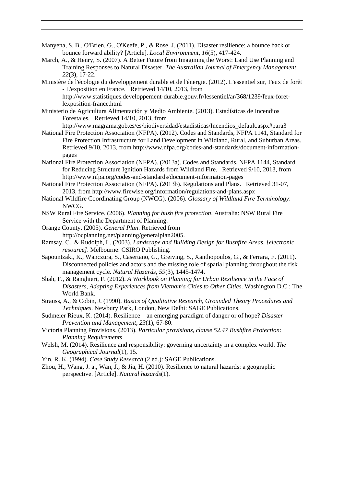- Manyena, S. B., O'Brien, G., O'Keefe, P., & Rose, J. (2011). Disaster resilience: a bounce back or bounce forward ability? [Article]. *Local Environment, 16*(5), 417-424.
- March, A., & Henry, S. (2007). A Better Future from Imagining the Worst: Land Use Planning and Training Responses to Natural Disaster. *The Australian Journal of Emergency Management, 22*(3), 17-22.
- Ministère de l'écologie du developpement durable et de l'énergie. (2012). L'essentiel sur, Feux de forêt - L'exposition en France. Retrieved 14/10, 2013, from http://www.statistiques.developpement-durable.gouv.fr/lessentiel/ar/368/1239/feux-foretlexposition-france.html
- Ministerio de Agricultura Alimentación y Medio Ambiente. (2013). Estadísticas de Incendios Forestales. Retrieved 14/10, 2013, from
	- http://www.magrama.gob.es/es/biodiversidad/estadisticas/Incendios\_default.aspx#para3
- National Fire Protection Association (NFPA). (2012). Codes and Standards, NFPA 1141, Standard for Fire Protection Infrastructure for Land Development in Wildland, Rural, and Suburban Areas. Retrieved 9/10, 2013, from http://www.nfpa.org/codes-and-standards/document-informationpages
- National Fire Protection Association (NFPA). (2013a). Codes and Standards, NFPA 1144, Standard for Reducing Structure Ignition Hazards from Wildland Fire. Retrieved 9/10, 2013, from http://www.nfpa.org/codes-and-standards/document-information-pages
- National Fire Protection Association (NFPA). (2013b). Regulations and Plans. Retrieved 31-07, 2013, from http://www.firewise.org/information/regulations-and-plans.aspx
- National Wildfire Coordinating Group (NWCG). (2006). *Glossary of Wildland Fire Terminology*: NWCG.
- NSW Rural Fire Service. (2006). *Planning for bush fire protection*. Australia: NSW Rural Fire Service with the Department of Planning.
- Orange County. (2005). *General Plan*. Retrieved from http://ocplanning.net/planning/generalplan2005.
- Ramsay, C., & Rudolph, L. (2003). *Landscape and Building Design for Bushfire Areas. [electronic resource]*. Melbourne: CSIRO Publishing.
- Sapountzaki, K., Wanczura, S., Casertano, G., Greiving, S., Xanthopoulos, G., & Ferrara, F. (2011). Disconnected policies and actors and the missing role of spatial planning throughout the risk management cycle. *Natural Hazards, 59*(3), 1445-1474.
- Shah, F., & Ranghieri, F. (2012). *A Workbook on Planning for Urban Resilience in the Face of Disasters, Adapting Experiences from Vietnam's Cities to Other Cities*. Washington D.C.: The World Bank.
- Strauss, A., & Cobin, J. (1990). *Basics of Qualitative Research, Grounded Theory Procedures and Techniques*. Newbury Park, London, New Delhi: SAGE Publications.
- Sudmeier Rieux, K. (2014). Resilience an emerging paradigm of danger or of hope? *Disaster Prevention and Management, 23*(1), 67-80.
- Victoria Planning Provisions. (2013). *Particular provisions, clause 52.47 Bushfire Protection: Planning Requirements*
- Welsh, M. (2014). Resilience and responsibility: governing uncertainty in a complex world. *The Geographical Journal*(1), 15.
- Yin, R. K. (1994). *Case Study Research* (2 ed.): SAGE Publications.
- Zhou, H., Wang, J. a., Wan, J., & Jia, H. (2010). Resilience to natural hazards: a geographic perspective. [Article]. *Natural hazards*(1).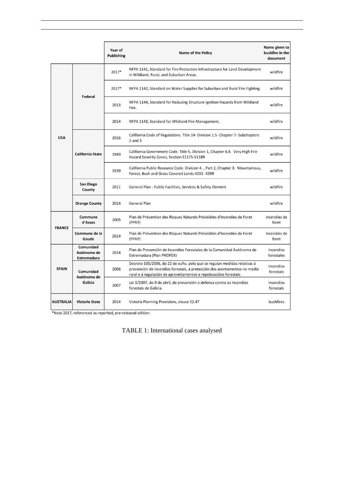|                  |                                                | Year of<br><b>Publishing</b> | <b>Name of the Policy</b>                                                                                                                                                                                                  | Name given to<br>bushfire in the<br>document |
|------------------|------------------------------------------------|------------------------------|----------------------------------------------------------------------------------------------------------------------------------------------------------------------------------------------------------------------------|----------------------------------------------|
| <b>USA</b>       | <b>Federal</b>                                 | 2017*                        | NFPA 1141, Standard for Fire Protection Infrastructure for Land Development<br>in Wildland, Rural, and Suburban Areas.                                                                                                     | wildfire                                     |
|                  |                                                | 2017*                        | NFPA 1142, Standard on Water Supplies for Suburban and Rural Fire Fighting.                                                                                                                                                | wildfire                                     |
|                  |                                                | 2013                         | NFPA 1144, Standard for Reducing Structure Ignition Hazards from Wildland<br>Fire.                                                                                                                                         | wildfire                                     |
|                  |                                                | 2014                         | NFPA 1143, Standard for Wildland Fire Management.                                                                                                                                                                          | wildfire                                     |
|                  | <b>California State</b>                        | 2016                         | California Code of Regulations. Title 14- Division 1.5- Chapter 7- Subchapters<br>$2$ and $3$                                                                                                                              | wildfire                                     |
|                  |                                                | 1943                         | California Government Code. Title 5, Division 1, Chapter 6.8. Very High Fire<br>Hazard Severity Zones, Section 51175-51189                                                                                                 | wildfire                                     |
|                  |                                                | 1939                         | California Public Resource Code. Division 4., Part 2, Chapter 3. Mountainous,<br>Forest, Bush and Grass Covered Lands 4291-4299                                                                                            | wildfire                                     |
|                  | <b>San Diego</b><br>County                     | 2011                         | General Plan - Public Facilities, Services & Safety Element                                                                                                                                                                | wildfire                                     |
|                  | <b>Orange County</b>                           | 2014                         | <b>General Plan</b>                                                                                                                                                                                                        | wildfire                                     |
| <b>FRANCE</b>    | Commune<br>d'Assas                             | 2005                         | Plan de Prévention des Risques Naturels Prévisibles d'Incendies de Foret<br>(PPRif)                                                                                                                                        | incendies de<br>foret                        |
|                  | Commune de la<br>Gaude                         | 2014                         | Plan de Prévention des Risques Naturels Prévisibles d'Incendies de Foret<br>(PPRif)                                                                                                                                        | incendies de<br>foret                        |
| <b>SPAIN</b>     | Comunidad<br>Autónoma de<br><b>Extremadura</b> | 2014                         | Plan de Prevención de Incendios Forestales de la Comunidad Autónoma de<br>Extremadura (Plan PREIFEX)                                                                                                                       | incendios<br>forestales                      |
|                  | Comunidad<br>Autónoma de<br>Galicia            | 2006                         | Decreto 105/2006, do 22 de xuño, polo que se regulan medidas relativas á<br>prevención de incendios forestais, á protección dos asentamentos no medio<br>rural e á regulación de aproveitamentos e repoboacións forestais. | incendios<br>forestais                       |
|                  |                                                | 2007                         | Lei 3/2007, do 9 de abril, de prevención e defensa contra os incendios<br>forestais de Galicia.                                                                                                                            | incendios<br>forestais                       |
| <b>AUSTRALIA</b> | <b>Victoria State</b>                          | 2014                         | Victoria Planning Provisions, clause 52.47                                                                                                                                                                                 | bushfires                                    |

\*Note 2017, referenced as reported, pre-released edition.

TABLE 1: International cases analysed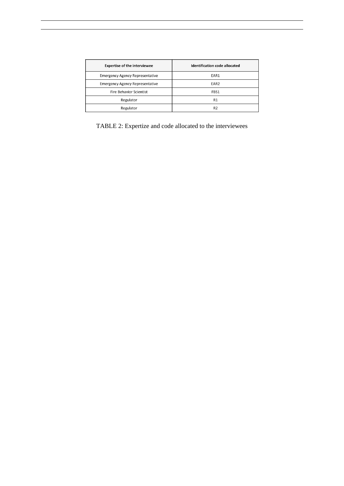| <b>Expertise of the interviewee</b>    | <b>Identification code allocated</b> |  |  |  |  |
|----------------------------------------|--------------------------------------|--|--|--|--|
| <b>Emergency Agency Representative</b> | EAR1                                 |  |  |  |  |
| <b>Emergency Agency Representative</b> | EAR <sub>2</sub>                     |  |  |  |  |
| <b>Fire Behavior Scientist</b>         | FBS1                                 |  |  |  |  |
| Regulator                              | R1                                   |  |  |  |  |
| Regulator                              | R <sub>2</sub>                       |  |  |  |  |

TABLE 2: Expertize and code allocated to the interviewees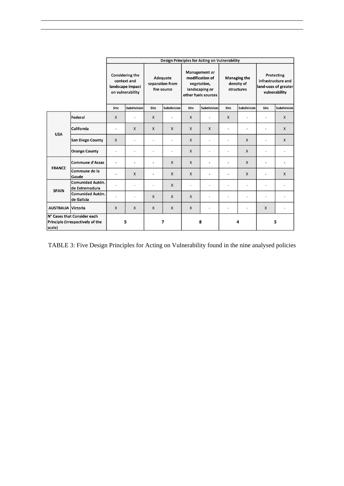|                                                                           |                                    | <b>Design Principles for Acting on Vulnerability</b>                          |                          |                                            |             |                                                                                                 |                          |                                                 |                          |                                                                           |              |
|---------------------------------------------------------------------------|------------------------------------|-------------------------------------------------------------------------------|--------------------------|--------------------------------------------|-------------|-------------------------------------------------------------------------------------------------|--------------------------|-------------------------------------------------|--------------------------|---------------------------------------------------------------------------|--------------|
|                                                                           |                                    | <b>Considering the</b><br>context and<br>landscape impact<br>on vulnerability |                          | Adequate<br>separation from<br>fire source |             | <b>Management or</b><br>modification of<br>vegetation,<br>landscaping or<br>other fuels sources |                          | <b>Managing the</b><br>density of<br>structures |                          | Protecting<br>infrastructure and<br>land-uses of greater<br>vulnerability |              |
|                                                                           |                                    | Site                                                                          | Subdivision              | Site                                       | Subdivision | Site                                                                                            | Subdivision              | Site                                            | Subdivision              | Site                                                                      | Subdivision  |
| <b>USA</b>                                                                | Federal                            | X                                                                             | ٠                        | X                                          |             | $\mathsf{X}$                                                                                    | ÷                        | $\mathsf{X}$                                    |                          |                                                                           | X            |
|                                                                           | California                         | $\overline{a}$                                                                | X                        | $\mathsf{X}$                               | X           | $\mathsf{X}$                                                                                    | X                        | ٠                                               | $\overline{\phantom{a}}$ |                                                                           | X            |
|                                                                           | <b>San Diego County</b>            | $\mathsf{x}$                                                                  | $\overline{\phantom{a}}$ | $\overline{\phantom{a}}$                   | ä,          | $\mathsf{X}$                                                                                    | $\overline{\phantom{a}}$ | $\overline{\phantom{a}}$                        | $\mathsf{x}$             | $\overline{a}$                                                            | X            |
|                                                                           | <b>Orange County</b>               | $\overline{a}$                                                                | $\overline{\phantom{a}}$ | $\overline{\phantom{a}}$                   |             | $\mathsf{X}$                                                                                    | $\overline{a}$           | ٠                                               | X                        | $\overline{\phantom{a}}$                                                  |              |
| <b>FRANCE</b>                                                             | <b>Commune d'Assas</b>             | ä,                                                                            | $\overline{\phantom{a}}$ | $\overline{\phantom{m}}$                   | X           | $\mathsf{X}$                                                                                    | $\overline{a}$           | $\overline{a}$                                  | $\mathsf{x}$             | $\overline{\phantom{a}}$                                                  |              |
|                                                                           | Commune de la<br>Gaude             |                                                                               | $\mathsf{x}$             |                                            | X           | $\mathsf{x}$                                                                                    |                          |                                                 | X                        |                                                                           | $\mathsf{X}$ |
| <b>SPAIN</b>                                                              | Comunidad Autón.<br>de Extremadura |                                                                               | $\overline{\phantom{a}}$ | ٠                                          | X           | $\overline{a}$                                                                                  | $\overline{a}$           | ٠                                               | $\overline{\phantom{a}}$ | ٠                                                                         |              |
|                                                                           | Comunidad Autón.<br>de Galicia     | $\overline{a}$                                                                | $\overline{a}$           | X                                          | X           | $\mathsf{X}$                                                                                    | $\overline{a}$           | ÷                                               | $\overline{\phantom{a}}$ | $\overline{a}$                                                            |              |
| <b>AUSTRALIA Victoria</b>                                                 |                                    | X                                                                             | X                        | X                                          | X           | X                                                                                               | $\overline{a}$           | ÷                                               | $\overline{\phantom{a}}$ | X                                                                         |              |
| N° Cases that Consider each<br>Principle (irrespectively of the<br>scale) |                                    | 5                                                                             |                          | 7                                          |             | 8                                                                                               |                          | 4                                               |                          | 5                                                                         |              |

TABLE 3: Five Design Principles for Acting on Vulnerability found in the nine analysed policies